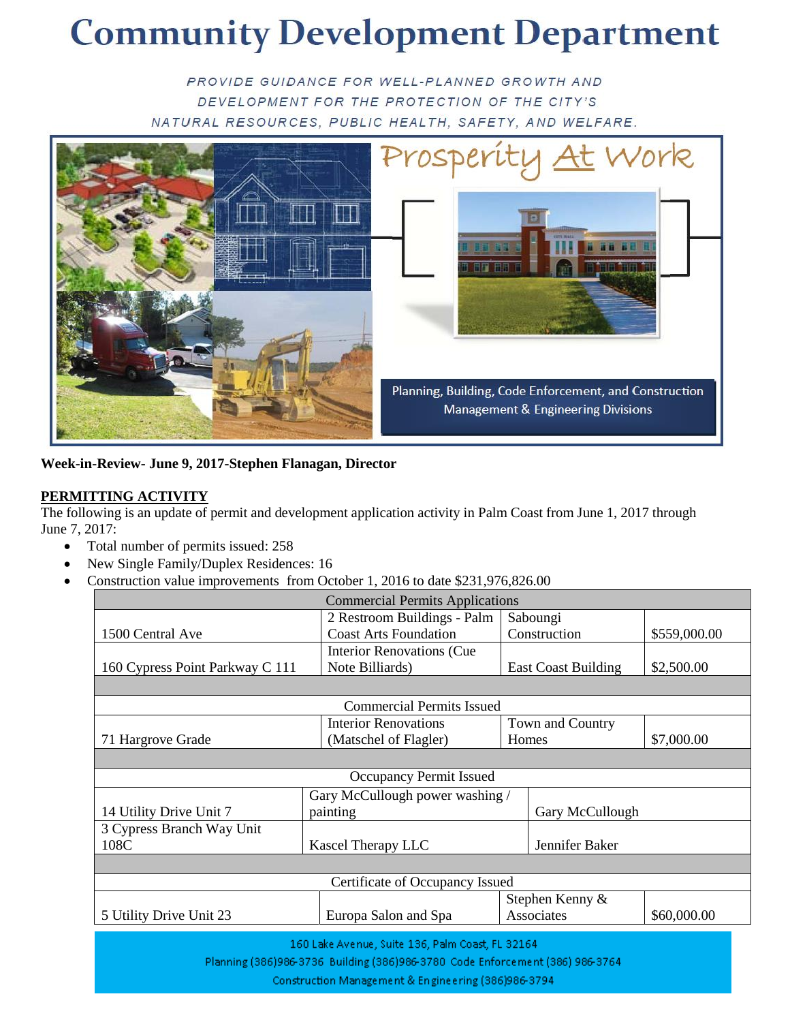# **Community Development Department**

PROVIDE GUIDANCE FOR WELL-PLANNED GROWTH AND DEVELOPMENT FOR THE PROTECTION OF THE CITY'S NATURAL RESOURCES, PUBLIC HEALTH, SAFETY, AND WELFARE.



**Week-in-Review- June 9, 2017-Stephen Flanagan, Director**

#### **PERMITTING ACTIVITY**

The following is an update of permit and development application activity in Palm Coast from June 1, 2017 through June 7, 2017:

- Total number of permits issued: 258
- New Single Family/Duplex Residences: 16
- Construction value improvements from October 1, 2016 to date \$231,976,826.00

| <b>Commercial Permits Applications</b>           |                                   |                  |                            |                 |  |  |  |
|--------------------------------------------------|-----------------------------------|------------------|----------------------------|-----------------|--|--|--|
|                                                  | 2 Restroom Buildings - Palm       | Saboungi         |                            |                 |  |  |  |
| 1500 Central Ave                                 | <b>Coast Arts Foundation</b>      |                  | Construction               | \$559,000.00    |  |  |  |
|                                                  | <b>Interior Renovations (Cue)</b> |                  |                            |                 |  |  |  |
| 160 Cypress Point Parkway C 111                  | Note Billiards)                   |                  | <b>East Coast Building</b> | \$2,500.00      |  |  |  |
|                                                  |                                   |                  |                            |                 |  |  |  |
| <b>Commercial Permits Issued</b>                 |                                   |                  |                            |                 |  |  |  |
|                                                  | <b>Interior Renovations</b>       | Town and Country |                            |                 |  |  |  |
| 71 Hargrove Grade                                | (Matschel of Flagler)             | Homes            |                            | \$7,000.00      |  |  |  |
|                                                  |                                   |                  |                            |                 |  |  |  |
| Occupancy Permit Issued                          |                                   |                  |                            |                 |  |  |  |
|                                                  | Gary McCullough power washing /   |                  |                            |                 |  |  |  |
| 14 Utility Drive Unit 7                          | painting                          |                  |                            | Gary McCullough |  |  |  |
| 3 Cypress Branch Way Unit                        |                                   |                  |                            |                 |  |  |  |
| 108C                                             | Kascel Therapy LLC                | Jennifer Baker   |                            |                 |  |  |  |
|                                                  |                                   |                  |                            |                 |  |  |  |
| Certificate of Occupancy Issued                  |                                   |                  |                            |                 |  |  |  |
|                                                  |                                   |                  | Stephen Kenny &            |                 |  |  |  |
| 5 Utility Drive Unit 23                          | Europa Salon and Spa              |                  | Associates                 | \$60,000.00     |  |  |  |
| 160 Lake Avenue, Suite 136, Palm Coast, FL 32164 |                                   |                  |                            |                 |  |  |  |

Planning (386)986-3736 Building (386)986-3780 Code Enforcement (386) 986-3764

Construction Management & Engineering (386)986-3794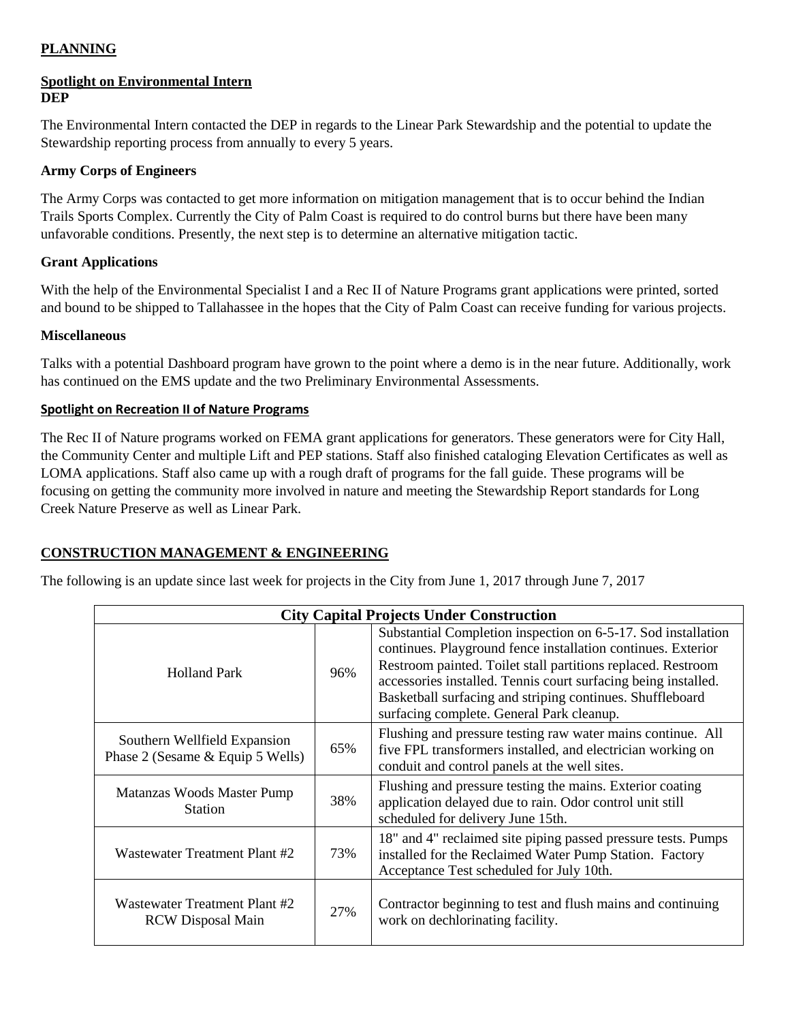#### **PLANNING**

#### **Spotlight on Environmental Intern DEP**

The Environmental Intern contacted the DEP in regards to the Linear Park Stewardship and the potential to update the Stewardship reporting process from annually to every 5 years.

#### **Army Corps of Engineers**

The Army Corps was contacted to get more information on mitigation management that is to occur behind the Indian Trails Sports Complex. Currently the City of Palm Coast is required to do control burns but there have been many unfavorable conditions. Presently, the next step is to determine an alternative mitigation tactic.

### **Grant Applications**

With the help of the Environmental Specialist I and a Rec II of Nature Programs grant applications were printed, sorted and bound to be shipped to Tallahassee in the hopes that the City of Palm Coast can receive funding for various projects.

### **Miscellaneous**

Talks with a potential Dashboard program have grown to the point where a demo is in the near future. Additionally, work has continued on the EMS update and the two Preliminary Environmental Assessments.

### **Spotlight on Recreation II of Nature Programs**

The Rec II of Nature programs worked on FEMA grant applications for generators. These generators were for City Hall, the Community Center and multiple Lift and PEP stations. Staff also finished cataloging Elevation Certificates as well as LOMA applications. Staff also came up with a rough draft of programs for the fall guide. These programs will be focusing on getting the community more involved in nature and meeting the Stewardship Report standards for Long Creek Nature Preserve as well as Linear Park.

## **CONSTRUCTION MANAGEMENT & ENGINEERING**

The following is an update since last week for projects in the City from June 1, 2017 through June 7, 2017

| <b>City Capital Projects Under Construction</b>                  |     |                                                                                                                                                                                                                                                                                                                                                                           |  |  |
|------------------------------------------------------------------|-----|---------------------------------------------------------------------------------------------------------------------------------------------------------------------------------------------------------------------------------------------------------------------------------------------------------------------------------------------------------------------------|--|--|
| <b>Holland Park</b>                                              | 96% | Substantial Completion inspection on 6-5-17. Sod installation<br>continues. Playground fence installation continues. Exterior<br>Restroom painted. Toilet stall partitions replaced. Restroom<br>accessories installed. Tennis court surfacing being installed.<br>Basketball surfacing and striping continues. Shuffleboard<br>surfacing complete. General Park cleanup. |  |  |
| Southern Wellfield Expansion<br>Phase 2 (Sesame & Equip 5 Wells) | 65% | Flushing and pressure testing raw water mains continue. All<br>five FPL transformers installed, and electrician working on<br>conduit and control panels at the well sites.                                                                                                                                                                                               |  |  |
| Matanzas Woods Master Pump<br><b>Station</b>                     | 38% | Flushing and pressure testing the mains. Exterior coating<br>application delayed due to rain. Odor control unit still<br>scheduled for delivery June 15th.                                                                                                                                                                                                                |  |  |
| Wastewater Treatment Plant #2                                    | 73% | 18" and 4" reclaimed site piping passed pressure tests. Pumps<br>installed for the Reclaimed Water Pump Station. Factory<br>Acceptance Test scheduled for July 10th.                                                                                                                                                                                                      |  |  |
| Wastewater Treatment Plant #2<br><b>RCW</b> Disposal Main        | 27% | Contractor beginning to test and flush mains and continuing<br>work on dechlorinating facility.                                                                                                                                                                                                                                                                           |  |  |